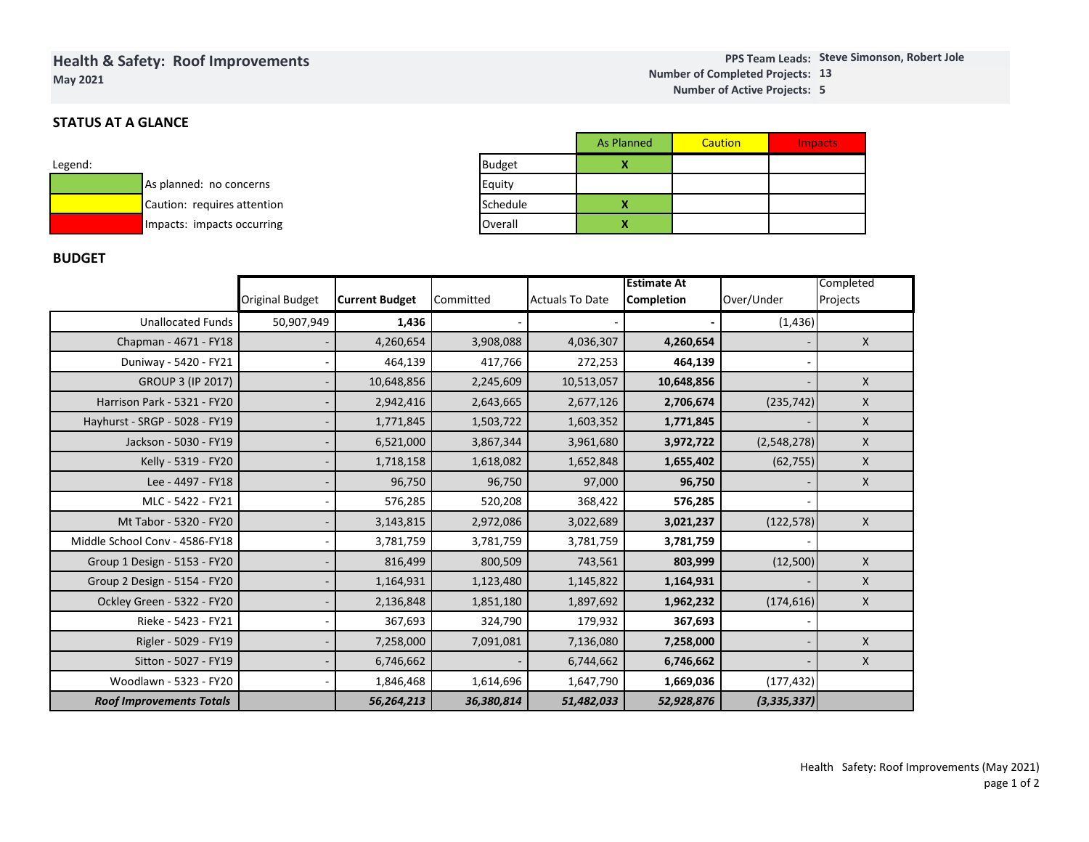# **Health & Safety: Roof ImprovementsMay 2021**

# **STATUS AT A GLANCE**

| Legend: |                             |
|---------|-----------------------------|
|         | As planned: no concerns     |
|         | Caution: requires attention |
|         | Impacts: impacts occurring  |

|                                |                               |                    |           | <b>As Planned</b> |                          | <b>Caution</b> |          | <b>Impacts</b> |   |
|--------------------------------|-------------------------------|--------------------|-----------|-------------------|--------------------------|----------------|----------|----------------|---|
| <b>Budget</b>                  |                               |                    | x         |                   |                          |                |          |                |   |
|                                | Equity<br>Schedule<br>Overall |                    |           |                   |                          |                |          |                |   |
|                                |                               |                    | x         |                   |                          |                |          |                |   |
|                                |                               |                    |           | x                 |                          |                |          |                |   |
|                                |                               |                    |           |                   |                          |                |          |                |   |
| <b>Actuals To Date</b><br>tted |                               | <b>Estimate At</b> |           |                   |                          | Completed      |          |                |   |
|                                |                               |                    |           | Completion        |                          | Over/Under     |          | Projects       |   |
|                                |                               |                    | ٠         |                   | $\overline{\phantom{0}}$ |                | (1, 436) |                |   |
|                                | 3,908,088                     |                    | 4,036,307 |                   | 4,260,654                |                |          |                | X |

### **BUDGET**

|                                 | <b>Original Budget</b> | <b>Current Budget</b> | Committed  | <b>Actuals To Date</b> | <b>Estimate At</b><br><b>Completion</b> | Over/Under    | Completed<br>Projects |
|---------------------------------|------------------------|-----------------------|------------|------------------------|-----------------------------------------|---------------|-----------------------|
| <b>Unallocated Funds</b>        | 50,907,949             | 1,436                 |            |                        |                                         | (1, 436)      |                       |
| Chapman - 4671 - FY18           |                        | 4,260,654             | 3,908,088  | 4,036,307              | 4,260,654                               |               | $\mathsf{x}$          |
| Duniway - 5420 - FY21           |                        | 464,139               | 417,766    | 272,253                | 464,139                                 |               |                       |
| <b>GROUP 3 (IP 2017)</b>        |                        | 10,648,856            | 2,245,609  | 10,513,057             | 10,648,856                              |               | $\mathsf{X}$          |
| Harrison Park - 5321 - FY20     |                        | 2,942,416             | 2,643,665  | 2,677,126              | 2,706,674                               | (235, 742)    | X                     |
| Hayhurst - SRGP - 5028 - FY19   |                        | 1,771,845             | 1,503,722  | 1,603,352              | 1,771,845                               |               | $\mathsf{X}$          |
| Jackson - 5030 - FY19           |                        | 6,521,000             | 3,867,344  | 3,961,680              | 3,972,722                               | (2,548,278)   | $\mathsf{X}$          |
| Kelly - 5319 - FY20             |                        | 1,718,158             | 1,618,082  | 1,652,848              | 1,655,402                               | (62, 755)     | $\mathsf{X}$          |
| Lee - 4497 - FY18               |                        | 96,750                | 96,750     | 97,000                 | 96,750                                  |               | $\mathsf{X}$          |
| MLC - 5422 - FY21               |                        | 576,285               | 520,208    | 368,422                | 576,285                                 |               |                       |
| Mt Tabor - 5320 - FY20          |                        | 3,143,815             | 2,972,086  | 3,022,689              | 3,021,237                               | (122, 578)    | $\mathsf{X}$          |
| Middle School Conv - 4586-FY18  |                        | 3,781,759             | 3,781,759  | 3,781,759              | 3,781,759                               |               |                       |
| Group 1 Design - 5153 - FY20    |                        | 816,499               | 800,509    | 743,561                | 803,999                                 | (12,500)      | $\mathsf{X}$          |
| Group 2 Design - 5154 - FY20    |                        | 1,164,931             | 1,123,480  | 1,145,822              | 1,164,931                               |               | $\mathsf{X}$          |
| Ockley Green - 5322 - FY20      |                        | 2,136,848             | 1,851,180  | 1,897,692              | 1,962,232                               | (174, 616)    | X                     |
| Rieke - 5423 - FY21             |                        | 367,693               | 324,790    | 179,932                | 367,693                                 |               |                       |
| Rigler - 5029 - FY19            |                        | 7,258,000             | 7,091,081  | 7,136,080              | 7,258,000                               |               | $\mathsf{X}$          |
| Sitton - 5027 - FY19            |                        | 6,746,662             |            | 6,744,662              | 6,746,662                               |               | $\mathsf{X}$          |
| Woodlawn - 5323 - FY20          |                        | 1,846,468             | 1,614,696  | 1,647,790              | 1,669,036                               | (177, 432)    |                       |
| <b>Roof Improvements Totals</b> |                        | 56,264,213            | 36,380,814 | 51,482,033             | 52,928,876                              | (3, 335, 337) |                       |